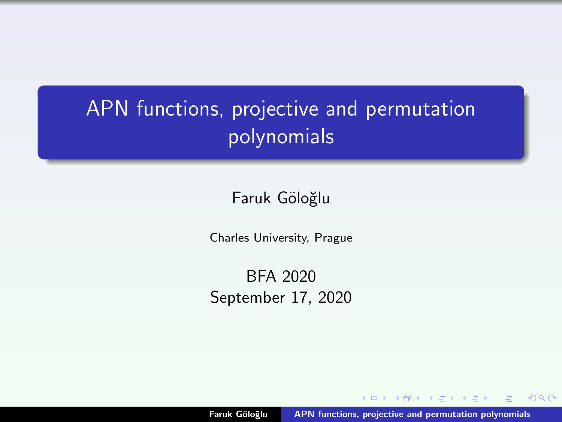# <span id="page-0-0"></span>APN functions, projective and permutation polynomials

Faruk Göloğlu

Charles University, Prague

BFA 2020 September 17, 2020

 $\leftarrow$ Faruk Göloğlu | [APN functions, projective and permutation polynomials](#page-70-0)

 $\sim$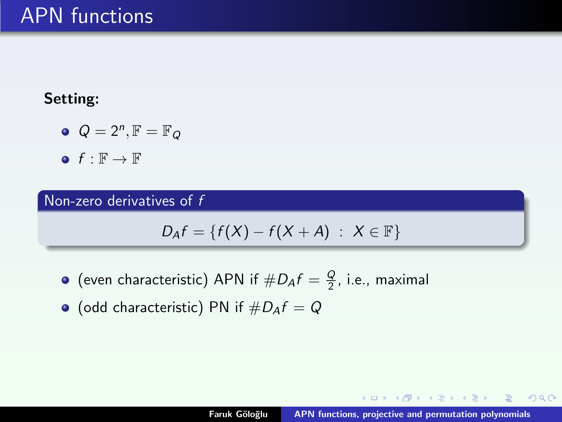#### Setting:

- $Q=2^n, \mathbb{F}=\mathbb{F}_Q$
- $\bullet$  f :  $\mathbb{F} \rightarrow \mathbb{F}$

#### Non-zero derivatives of f

$$
D_A f = \{f(X) - f(X + A) : X \in \mathbb{F}\}
$$

- (even characteristic) APN if  $\#D_Af = \frac{Q}{2}$ , i.e., maximal
- $\bullet$  (odd characteristic) PN if  $\#D_Af = Q$

K ロ ▶ K 御 ▶ K 君 ▶ K 君 ▶ ...

 $2Q$ 

目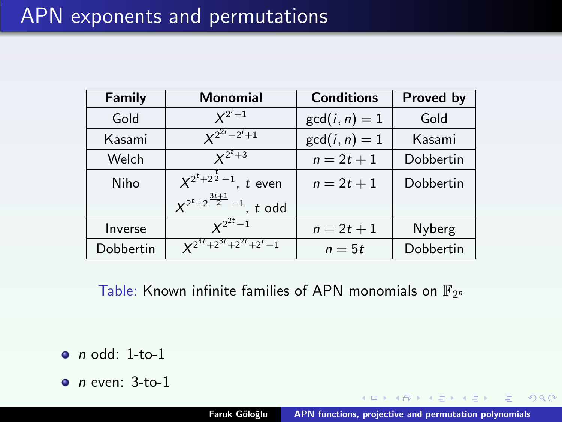| Family    | <b>Monomial</b>                        | <b>Conditions</b> | Proved by |
|-----------|----------------------------------------|-------------------|-----------|
| Gold      | $X^{2^i+1}$                            | $gcd(i, n) = 1$   | Gold      |
| Kasami    | $X^{2^{2i}-2^i+1}$                     | $gcd(i, n) = 1$   | Kasami    |
| Welch     | $x^{2^t+3}$                            | $n = 2t + 1$      | Dobbertin |
| Niho      | $X^{2^t+2^{\frac{t}{2}}-1}$ , t even   | $n = 2t + 1$      | Dobbertin |
|           | $X^{2^t+2^{\frac{3t+1}{2}}-1}$ , t odd |                   |           |
| Inverse   | $x^{2^{2t}-1}$                         | $n = 2t + 1$      | Nyberg    |
| Dobbertin | $x^{2^{4t}+2^{3t}+2^{2t}+2^t-1}$       | $n=5t$            | Dobbertin |

Table: Known infinite families of APN monomials on  $\mathbb{F}_{2^n}$ 

 $\bullet$  n odd: 1-to-1

 $\bullet$  n even: 3-to-1

 $4.60 \times 4.75 \times 4.75$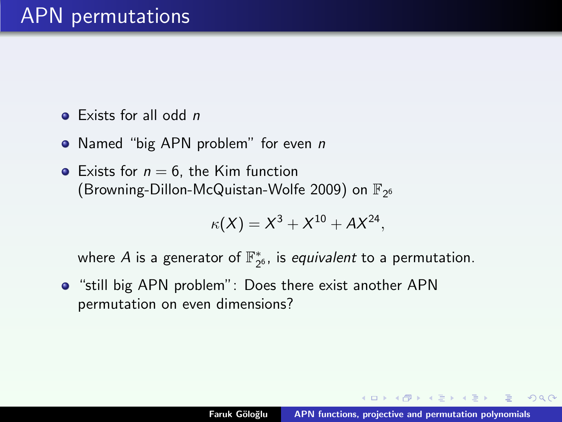### APN permutations

- $\bullet$  Exists for all odd n
- Named "big APN problem" for even *n*
- Exists for  $n = 6$ , the Kim function (Browning-Dillon-McQuistan-Wolfe 2009) on  $\mathbb{F}_{2^6}$

$$
\kappa(X) = X^3 + X^{10} + AX^{24},
$$

where  $A$  is a generator of  $\mathbb{F}_{2^6}^*$ , is *equivalent* to a permutation.

"still big APN problem": Does there exist another APN permutation on even dimensions?

 $\mathcal{A}$   $\overline{\oplus}$   $\mathcal{B}$   $\mathcal{A}$   $\overline{\oplus}$   $\mathcal{B}$   $\mathcal{B}$   $\mathcal{B}$   $\mathcal{B}$   $\mathcal{B}$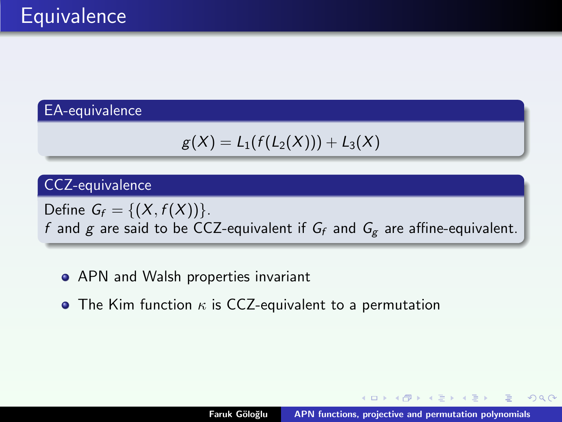#### EA-equivalence

$$
g(X)=L_1(f(L_2(X)))+L_3(X)
$$

#### CCZ-equivalence

Define  $G_f = \{(X, f(X))\}$ . f and g are said to be CCZ-equivalent if  $G_f$  and  $G_g$  are affine-equivalent.

- APN and Walsh properties invariant
- The Kim function  $\kappa$  is CCZ-equivalent to a permutation

**K ロ X イ団 X X ミ X X ミ**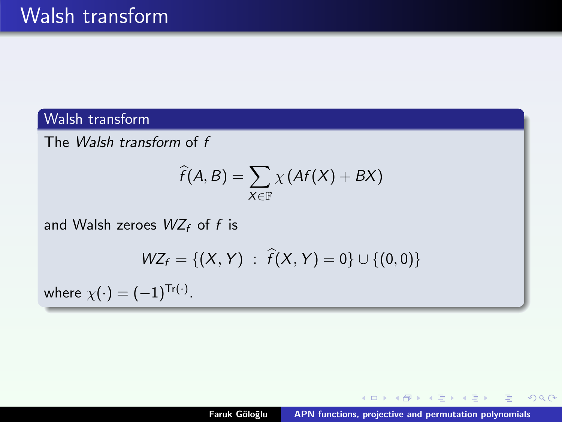#### Walsh transform

The Walsh transform of f

$$
\widehat{f}(A,B)=\sum_{X\in\mathbb{F}}\chi\left(Af(X)+BX\right)
$$

and Walsh zeroes  $WZ_f$  of f is

$$
WZ_f = \{(X, Y) : \hat{f}(X, Y) = 0\} \cup \{(0, 0)\}
$$

where  $\chi(\cdot)=(-1)^{\mathsf{Tr}(\cdot)}.$ 

K ロ ⊁ K 倒 ≯ K ミ ⊁ K ミ ⊁ …

目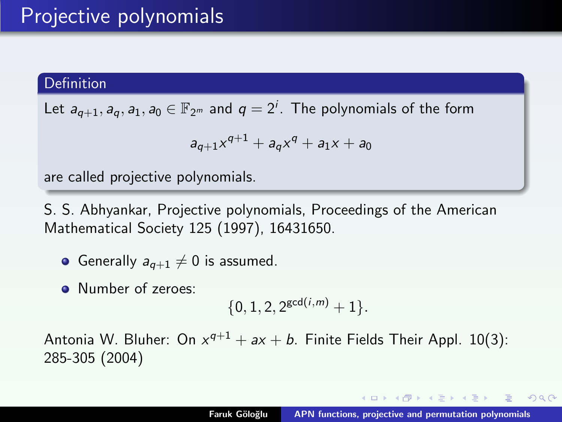#### <span id="page-6-0"></span>Definition

Let  $a_{q+1}, a_q, a_1, a_0 \in \mathbb{F}_{2^m}$  and  $q = 2^i$ . The polynomials of the form

$$
a_{q+1}x^{q+1} + a_qx^q + a_1x + a_0
$$

are called projective polynomials.

S. S. Abhyankar, Projective polynomials, Proceedings of the American Mathematical Society 125 (1997), 16431650.

- Generally  $a_{q+1} \neq 0$  is assumed.
- **A** Number of zeroes:

$$
\{0, 1, 2, 2^{\gcd(i,m)}+1\}.
$$

Antonia W. Bluher: On  $x^{q+1} + ax + b$ . Finite Fields Their Appl. 10(3): 285-305 (2004)

イロメ イ母メ イヨメ イヨメ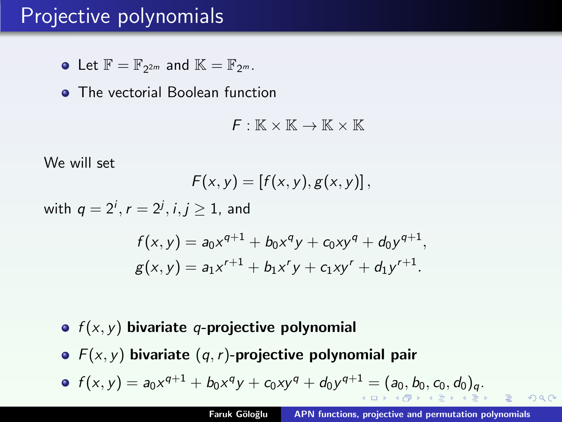### <span id="page-7-0"></span>Projective polynomials

Let  $\mathbb{F} = \mathbb{F}_{2^{2m}}$  and  $\mathbb{K} = \mathbb{F}_{2^m}$ .

**• The vectorial Boolean function** 

 $F: \mathbb{K} \times \mathbb{K} \to \mathbb{K} \times \mathbb{K}$ 

We will set

$$
F(x,y)=[f(x,y),g(x,y)],
$$

with  $q=2^i, r=2^j, i,j\geq 1$ , and

$$
f(x, y) = a_0 x^{q+1} + b_0 x^q y + c_0 x y^q + d_0 y^{q+1},
$$
  

$$
g(x, y) = a_1 x^{r+1} + b_1 x^r y + c_1 x y^r + d_1 y^{r+1}.
$$

- $\bullet$   $f(x, y)$  bivariate q-projective polynomial
- $\bullet$   $F(x, y)$  bivariate  $(q, r)$ -projective polynomial pair

• 
$$
f(x, y) = a_0 x^{q+1} + b_0 x^q y + c_0 x y^q + d_0 y^{q+1} = (a_0, b_0, c_0, d_0)_q
$$
.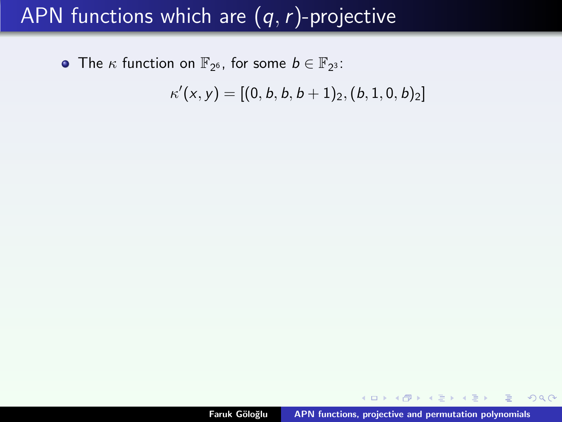<span id="page-8-0"></span>The  $\kappa$  function on  $\mathbb{F}_{2^6}$ , for some  $b \in \mathbb{F}_{2^3}$ :

 $\kappa'(\mathsf{x},\mathsf{y}) = [(0,b,b,b+1)_2, (b,1,0,b)_2]$ 

K ロ ▶ K 御 ▶ K 君 ▶ K 君 ▶ ...

 $299$ 

重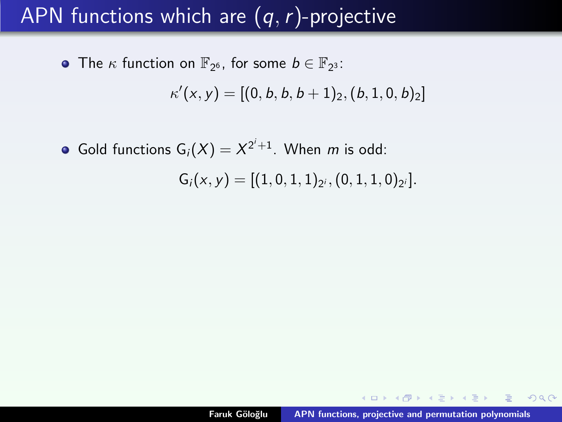The  $\kappa$  function on  $\mathbb{F}_{2^6}$ , for some  $b \in \mathbb{F}_{2^3}$ :

 $\kappa'(\mathsf{x},\mathsf{y}) = [(0,b,b,b+1)_2, (b,1,0,b)_2]$ 

Gold functions  $G_i(X) = X^{2^i+1}$ . When m is odd:

 $G_i(x, y) = [(1, 0, 1, 1)_{2^i}, (0, 1, 1, 0)_{2^i}].$ 

メタトメ ミトメ ミト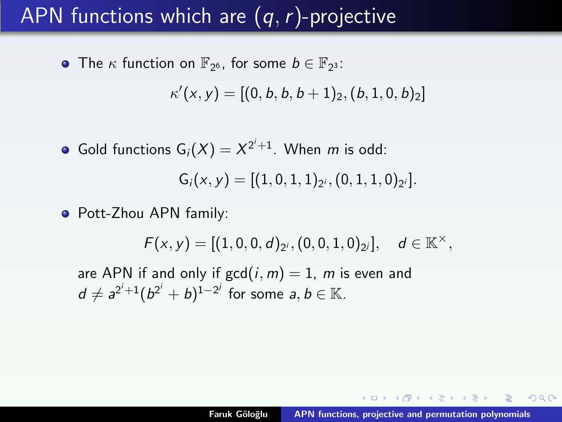The  $\kappa$  function on  $\mathbb{F}_{2^6}$ , for some  $b \in \mathbb{F}_{2^3}$ :

 $\kappa'(\mathsf{x},\mathsf{y}) = [(0,b,b,b+1)_2, (b,1,0,b)_2]$ 

Gold functions  $G_i(X) = X^{2^i+1}$ . When m is odd:

$$
G_i(x,y)=[(1,0,1,1)_{2^i},(0,1,1,0)_{2^i}].
$$

• Pott-Zhou APN family:

 $F(x, y) = [(1, 0, 0, d)_{2^i}, (0, 0, 1, 0)_{2^j}], \quad d \in \mathbb{K}^{\times},$ 

are APN if and only if  $gcd(i, m) = 1$ , m is even and  $d \neq a^{2^i+1}(b^{2^i}+b)^{1-2^j}$  for some  $a, b \in \mathbb{K}$ .

 $4.51 \times 4.71 \times 4.71 \times$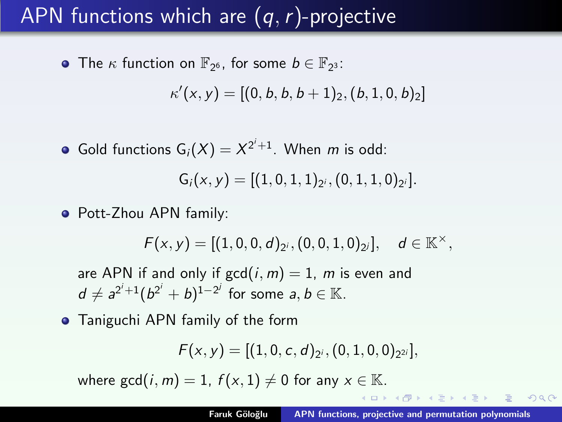The  $\kappa$  function on  $\mathbb{F}_{2^6}$ , for some  $b \in \mathbb{F}_{2^3}$ :

 $\kappa'(\mathsf{x},\mathsf{y}) = [(0,b,b,b+1)_2, (b,1,0,b)_2]$ 

Gold functions  $G_i(X) = X^{2^i+1}$ . When m is odd:

$$
G_i(x,y)=[(1,0,1,1)_{2^i},(0,1,1,0)_{2^i}].
$$

• Pott-Zhou APN family:

 $F(x, y) = [(1, 0, 0, d)_{2^i}, (0, 0, 1, 0)_{2^j}], \quad d \in \mathbb{K}^{\times},$ 

are APN if and only if  $gcd(i, m) = 1$ , m is even and  $d \neq a^{2^i+1}(b^{2^i}+b)^{1-2^j}$  for some  $a, b \in \mathbb{K}$ .

**•** Taniguchi APN family of the form

$$
F(x,y)=[(1,0,c,d)_{2^i},(0,1,0,0)_{2^{2i}}],
$$

where  $gcd(i, m) = 1$ ,  $f(x, 1) \neq 0$  for any  $x \in \mathbb{K}$ .

マーター マーティング

 $2QQ$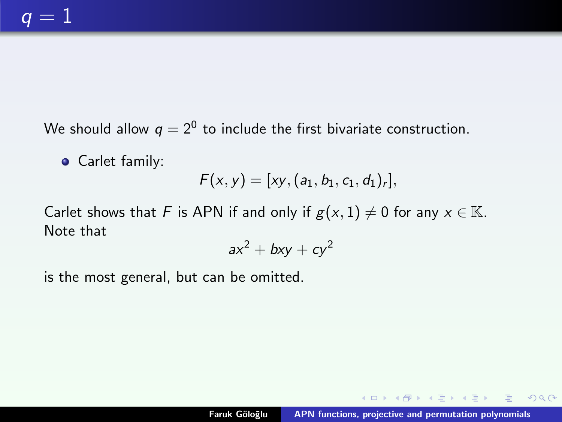We should allow  $q=2^0$  to include the first bivariate construction.

**•** Carlet family:

$$
F(x,y) = [xy, (a_1, b_1, c_1, d_1)_r],
$$

Carlet shows that F is APN if and only if  $g(x, 1) \neq 0$  for any  $x \in \mathbb{K}$ . Note that

$$
ax^2 + bxy + cy^2
$$

is the most general, but can be omitted.

 $4.013.4.513.4.533.4.53$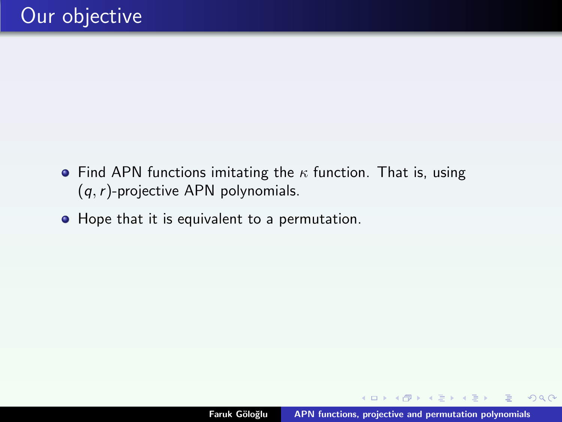- Find APN functions imitating the  $\kappa$  function. That is, using  $(q, r)$ -projective APN polynomials.
- Hope that it is equivalent to a permutation.

 $\sqrt{m}$  )  $\sqrt{m}$  )  $\sqrt{m}$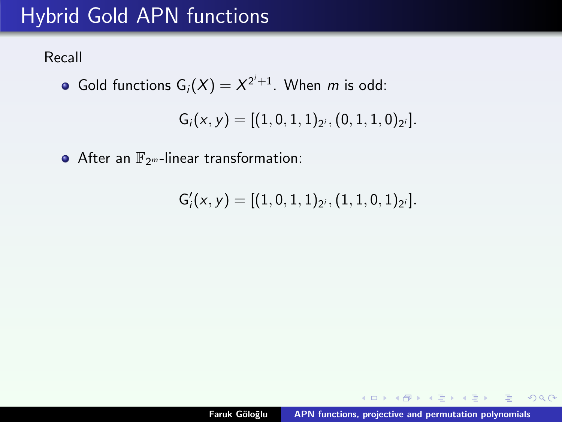# Hybrid Gold APN functions

Recall

Gold functions  $G_i(X) = X^{2^i+1}$ . When m is odd:

 $G_i(x, y) = [(1, 0, 1, 1)_{2^i}, (0, 1, 1, 0)_{2^i}].$ 

 $\bullet$  After an  $\mathbb{F}_{2^m}$ -linear transformation:

 $G'_i(x,y) = [(1,0,1,1)_{2^i}, (1,1,0,1)_{2^i}].$ 

K ロ ▶ K 御 ▶ K 君 ▶ K 君 ▶ ...

 $2Q$ 

目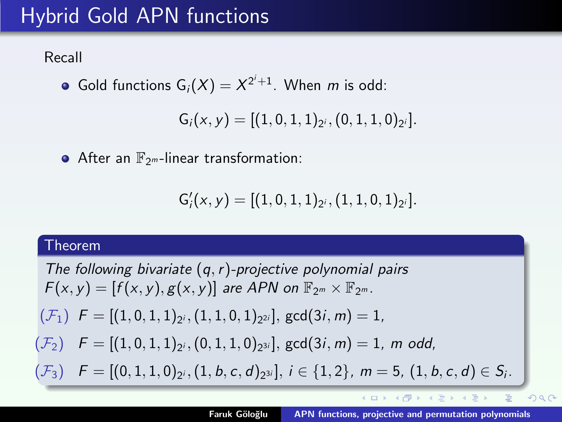# Hybrid Gold APN functions

Recall

Gold functions  $G_i(X) = X^{2^i+1}$ . When m is odd:

 $G_i(x, y) = [(1, 0, 1, 1)_{2^i}, (0, 1, 1, 0)_{2^i}].$ 

 $\bullet$  After an  $\mathbb{F}_{2^m}$ -linear transformation:

$$
G_i'(x,y)=[(1,0,1,1)_{2^i},(1,1,0,1)_{2^i}].\qquad \qquad
$$

#### Theorem

The following bivariate  $(q, r)$ -projective polynomial pairs  $F(x, y) = [f(x, y), g(x, y)]$  are APN on  $\mathbb{F}_{2^m} \times \mathbb{F}_{2^m}$ .  $(\mathcal{F}_{1})$   $\mathsf{F}=[(1,0,1,1)_{2^{i}},(1,1,0,1)_{2^{2i}}],$   $\mathsf{gcd}(3i,m)=1,$  $(\mathcal{F}_{2})$   $\quad F=[(1,0,1,1)_{2^{i}},(0,1,1,0)_{2^{3i}}],$   $\gcd(3i,m)=1,$   $m$   $odd,$  $(\mathcal{F}_{3})\quad F=[(0,1,1,0)_{2^{i}},(1,b,c,d)_{2^{3i}}],\, i\in\{1,2\},\ m=5,\ (1,b,c,d)\in\mathcal{S}_{i}.$ イロメ イ押 トラ ミュート  $\Omega$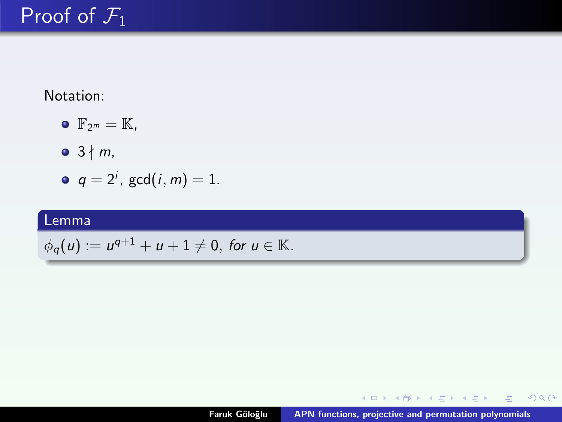Notation:

- $\bullet$   $\mathbb{F}_{2^m} = \mathbb{K}$ ,
- $\bullet$  3  $\nmid$  m,
- $q = 2^i$ ,  $gcd(i, m) = 1$ .

#### Lemma

$$
\phi_q(u) := u^{q+1} + u + 1 \neq 0, \text{ for } u \in \mathbb{K}.
$$

(ロ) (個) (目) (言) (言) (言)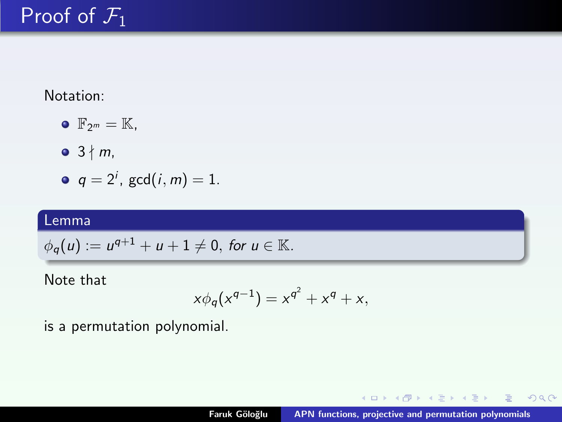Notation:

- $\bullet$   $\mathbb{F}_{2^m} = \mathbb{K}$ ,
- $\bullet$  3  $\nmid$  m,
- $q = 2^i$ ,  $gcd(i, m) = 1$ .

#### Lemma

$$
\phi_q(u) := u^{q+1} + u + 1 \neq 0, \text{ for } u \in \mathbb{K}.
$$

Note that

$$
x\phi_q(x^{q-1}) = x^{q^2} + x^q + x,
$$

is a permutation polynomial.

K ロ ⊁ K 倒 ≯ K ミ ⊁ K ミ ≯

 $299$ 

目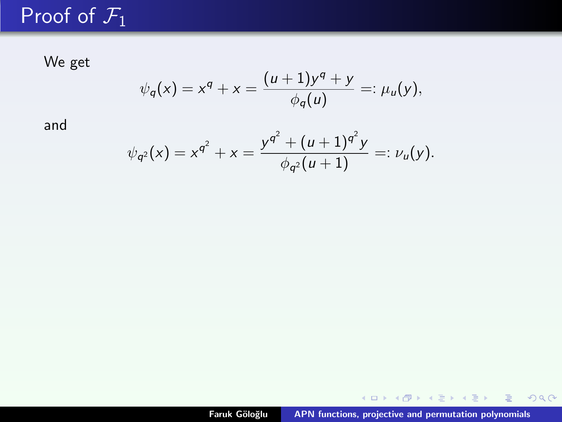We get

$$
\psi_q(x) = x^q + x = \frac{(u+1)y^q + y}{\phi_q(u)} =: \mu_u(y),
$$

and

$$
\psi_{q^2}(x) = x^{q^2} + x = \frac{y^{q^2} + (u+1)^{q^2}y}{\phi_{q^2}(u+1)} =: \nu_u(y).
$$

**K ロ ▶ K 御 ▶ K 君 ▶ K 君 ▶ 〈君〉**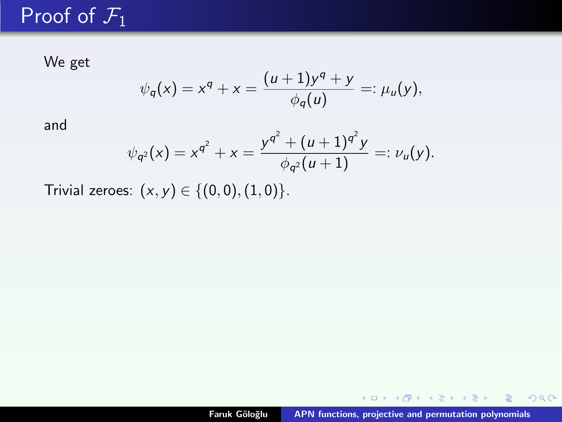We get

$$
\psi_q(x) = x^q + x = \frac{(u+1)y^q + y}{\phi_q(u)} =: \mu_u(y),
$$

and

$$
\psi_{q^2}(x) = x^{q^2} + x = \frac{y^{q^2} + (u+1)^{q^2}y}{\phi_{q^2}(u+1)} =: \nu_u(y).
$$

Trivial zeroes:  $(x, y) \in \{(0, 0), (1, 0)\}.$ 

イロメ イ団 メイモメ イモメー 走っ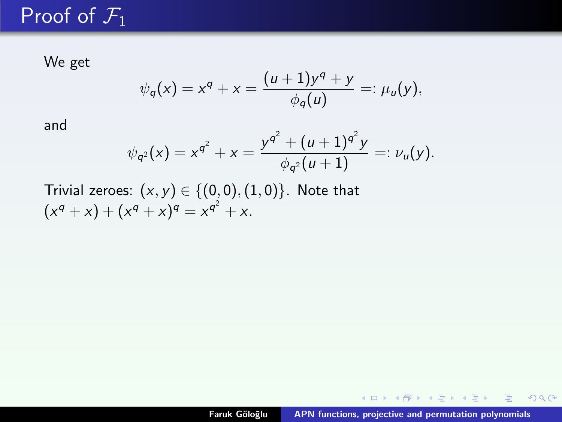We get

$$
\psi_q(x) = x^q + x = \frac{(u+1)y^q + y}{\phi_q(u)} =: \mu_u(y),
$$

and

$$
\psi_{q^2}(x) = x^{q^2} + x = \frac{y^{q^2} + (u+1)^{q^2}y}{\phi_{q^2}(u+1)} =: \nu_u(y).
$$

Trivial zeroes:  $(x, y) \in \{(0, 0), (1, 0)\}$ . Note that  $(x^{q} + x) + (x^{q} + x)^{q} = x^{q^{2}} + x.$ 

(ロ) (個) (目) (言) (言) (言)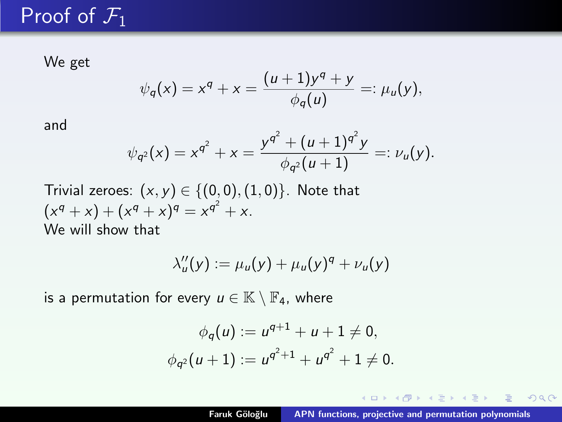We get

$$
\psi_q(x) = x^q + x = \frac{(u+1)y^q + y}{\phi_q(u)} =: \mu_u(y),
$$

and

$$
\psi_{q^2}(x) = x^{q^2} + x = \frac{y^{q^2} + (u+1)^{q^2}y}{\phi_{q^2}(u+1)} =: \nu_u(y).
$$

Trivial zeroes:  $(x, y) \in \{(0, 0), (1, 0)\}$ . Note that  $(x^{q} + x) + (x^{q} + x)^{q} = x^{q^{2}} + x.$ We will show that

$$
\lambda_u''(y) := \mu_u(y) + \mu_u(y)^q + \nu_u(y)
$$

is a permutation for every  $u \in \mathbb{K} \setminus \mathbb{F}_4$ , where

$$
\phi_q(u) := u^{q+1} + u + 1 \neq 0,
$$
  

$$
\phi_{q^2}(u+1) := u^{q^2+1} + u^{q^2} + 1 \neq 0.
$$

 $A \oplus A \rightarrow A \oplus A \rightarrow A \oplus A$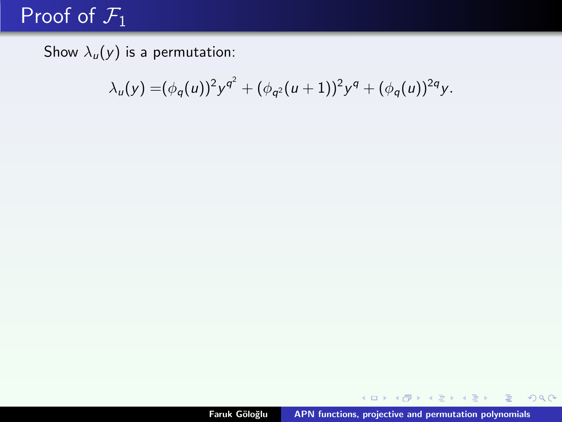Show  $\lambda_u(y)$  is a permutation:

$$
\lambda_u(y) = (\phi_q(u))^2 y^{q^2} + (\phi_{q^2}(u+1))^2 y^q + (\phi_q(u))^{2q} y.
$$

K ロ ▶ K 個 ▶ K 君 ▶ K 君 ▶ ○ 君 │ ◆ 9 Q ⊙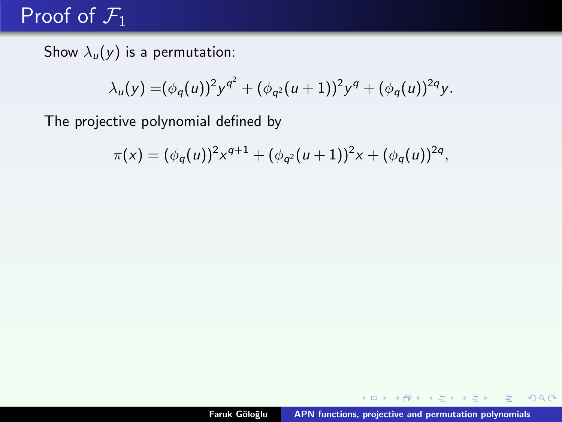Show  $\lambda_u(y)$  is a permutation:

$$
\lambda_u(y) = (\phi_q(u))^2 y^{q^2} + (\phi_{q^2}(u+1))^2 y^q + (\phi_q(u))^{2q} y.
$$

The projective polynomial defined by

$$
\pi(x) = (\phi_q(u))^2 x^{q+1} + (\phi_{q^2}(u+1))^2 x + (\phi_q(u))^{2q},
$$

イロト イ部 トイヨ トイヨ トー

目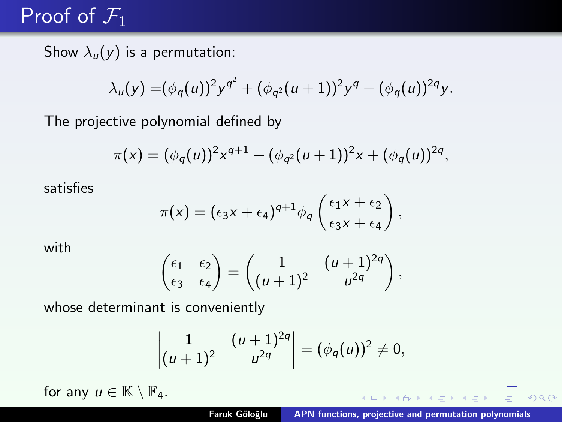Show  $\lambda_u(y)$  is a permutation:

$$
\lambda_u(y) = (\phi_q(u))^2 y^{q^2} + (\phi_{q^2}(u+1))^2 y^q + (\phi_q(u))^{2q} y.
$$

The projective polynomial defined by

$$
\pi(x) = (\phi_q(u))^2 x^{q+1} + (\phi_{q^2}(u+1))^2 x + (\phi_q(u))^{2q},
$$

satisfies

$$
\pi(x) = (\epsilon_3 x + \epsilon_4)^{q+1} \phi_q \left( \frac{\epsilon_1 x + \epsilon_2}{\epsilon_3 x + \epsilon_4} \right),
$$

with

$$
\begin{pmatrix} \epsilon_1 & \epsilon_2 \\ \epsilon_3 & \epsilon_4 \end{pmatrix} = \begin{pmatrix} 1 & (u+1)^{2q} \\ (u+1)^2 & u^{2q} \end{pmatrix},
$$

whose determinant is conveniently

$$
\begin{vmatrix} 1 & (u+1)^{2q} \\ (u+1)^2 & u^{2q} \end{vmatrix} = (\phi_q(u))^2 \neq 0,
$$

for any  $u \in \mathbb{K} \setminus \mathbb{F}_4$ .

 $(1 + 4)$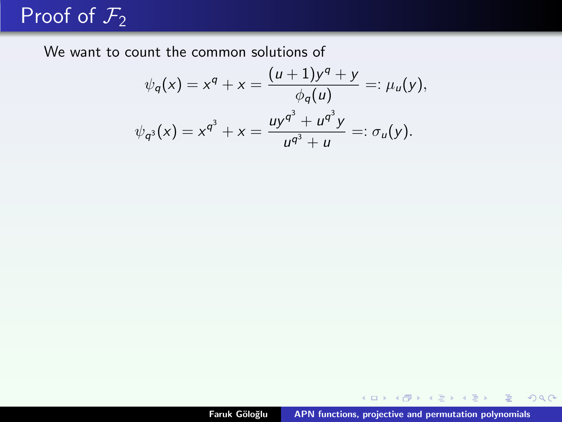We want to count the common solutions of

$$
\psi_q(x) = x^q + x = \frac{(u+1)y^q + y}{\phi_q(u)} =: \mu_u(y),
$$
  

$$
\psi_{q^3}(x) = x^{q^3} + x = \frac{uy^{q^3} + u^{q^3}y}{u^{q^3} + u} =: \sigma_u(y).
$$

K ロ ▶ K @ ▶ K 콜 ▶ K 콜 ▶ │ 콜 │ ◆ 9,9,0°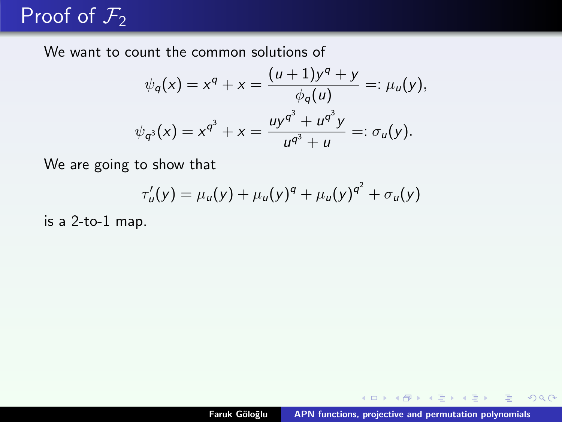# Proof of  $\overline{\mathcal{F}_2}$

We want to count the common solutions of

$$
\psi_q(x) = x^q + x = \frac{(u+1)y^q + y}{\phi_q(u)} =: \mu_u(y),
$$
  

$$
\psi_{q^3}(x) = x^{q^3} + x = \frac{uy^{q^3} + u^{q^3}y}{u^{q^3} + u} =: \sigma_u(y).
$$

We are going to show that

$$
\tau'_u(y) = \mu_u(y) + \mu_u(y)^q + \mu_u(y)^{q^2} + \sigma_u(y)
$$

is a 2-to-1 map.

K ロ ⊁ K 倒 ≯ K ミ ⊁ K ミ ≯

目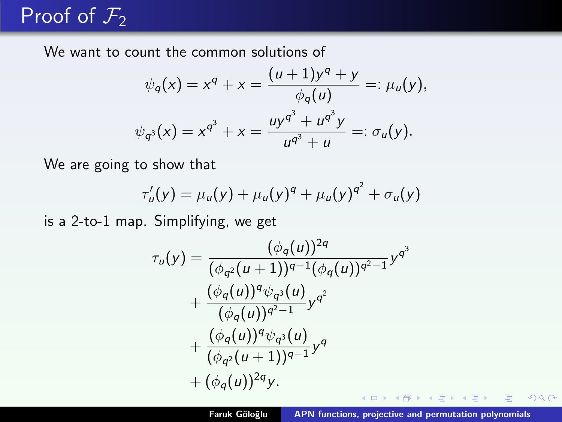We want to count the common solutions of

$$
\psi_q(x) = x^q + x = \frac{(u+1)y^q + y}{\phi_q(u)} =: \mu_u(y),
$$
  

$$
\psi_{q^3}(x) = x^{q^3} + x = \frac{uy^{q^3} + u^{q^3}y}{u^{q^3} + u} =: \sigma_u(y).
$$

We are going to show that

$$
\tau'_u(y) = \mu_u(y) + \mu_u(y)^q + \mu_u(y)^{q^2} + \sigma_u(y)
$$

is a 2-to-1 map. Simplifying, we get

$$
\tau_u(y) = \frac{(\phi_q(u))^{2q}}{(\phi_{q^2}(u+1))^{q-1}(\phi_q(u))^{q^2-1}} y^{q^3} \n+ \frac{(\phi_q(u))^q \psi_{q^3}(u)}{(\phi_q(u))^{q^2-1}} y^{q^2} \n+ \frac{(\phi_q(u))^q \psi_{q^3}(u)}{(\phi_{q^2}(u+1))^{q-1}} y^q \n+ (\phi_q(u))^{2q} y.
$$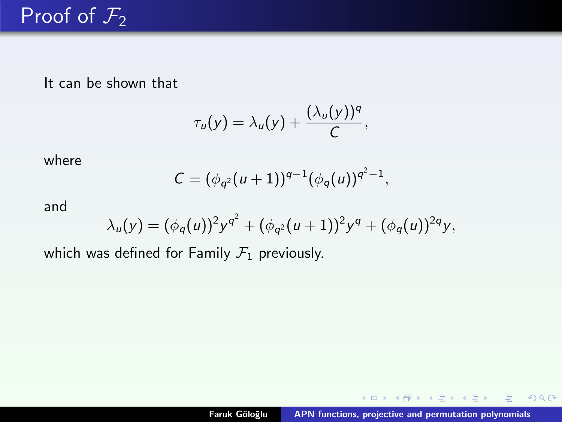It can be shown that

$$
\tau_u(y)=\lambda_u(y)+\frac{(\lambda_u(y))^q}{C},
$$

where

$$
C=(\phi_{q^2}(u+1))^{q-1}(\phi_q(u))^{q^2-1},
$$

and

$$
\lambda_u(y) = (\phi_q(u))^2 y^{q^2} + (\phi_{q^2}(u+1))^2 y^q + (\phi_q(u))^{2q} y,
$$

which was defined for Family  $\mathcal{F}_1$  previously.

イロメ イ母メ イヨメ イヨメー

目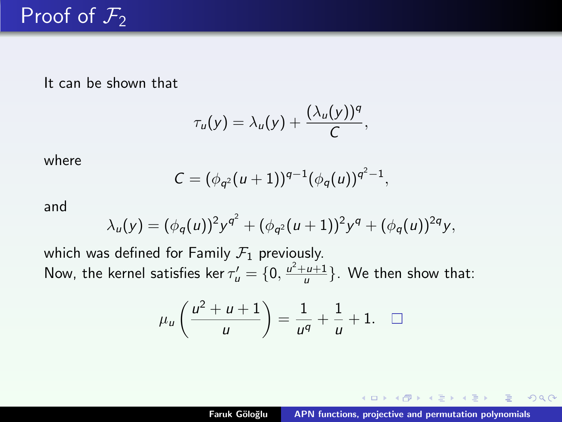It can be shown that

$$
\tau_u(y)=\lambda_u(y)+\frac{(\lambda_u(y))^q}{C},
$$

where

$$
C=(\phi_{q^2}(u+1))^{q-1}(\phi_q(u))^{q^2-1},
$$

and

$$
\lambda_u(y) = (\phi_q(u))^2 y^{q^2} + (\phi_{q^2}(u+1))^2 y^q + (\phi_q(u))^{2q} y,
$$

which was defined for Family  $\mathcal{F}_1$  previously. Now, the kernel satisfies ker  $\tau'_{\bm{u}} = \{0, \frac{u^2 + u + 1}{u}\}$ . We then show that:

$$
\mu_u\left(\frac{u^2+u+1}{u}\right)=\frac{1}{u^q}+\frac{1}{u}+1.\quad \Box
$$

イロメ イ母メ イヨメ イヨメー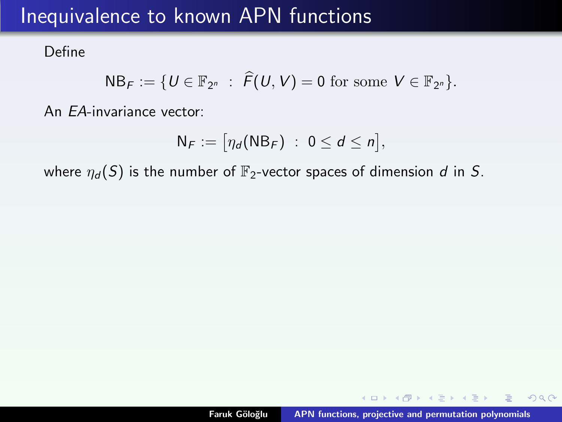### Inequivalence to known APN functions

Define

$$
NB_F:=\{U\in\mathbb{F}_{2^n}\ :\ \widehat{F}(U,V)=0\ {\rm for\ some}\ V\in\mathbb{F}_{2^n}\}.
$$

An EA-invariance vector:

$$
N_F := \big[\eta_d(NB_F) \; : \; 0 \leq d \leq n\big],
$$

where  $\eta_d(S)$  is the number of  $\mathbb{F}_2$ -vector spaces of dimension d in S.

→ イ母 ▶ → ミ ▶ → ミ ▶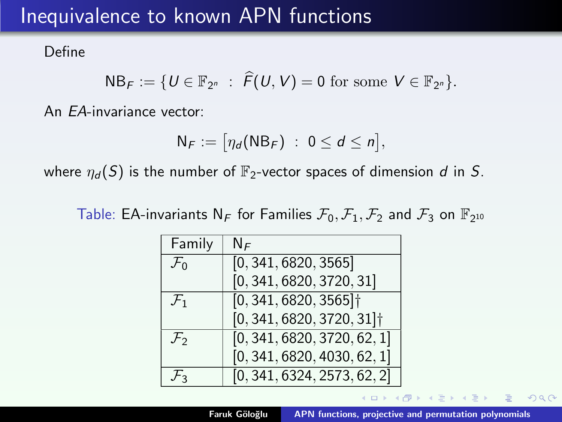### Inequivalence to known APN functions

Define

$$
NB_F:=\{U\in\mathbb{F}_{2^n}\ :\ \widehat{F}(U,V)=0\ {\rm for\ some}\ V\in\mathbb{F}_{2^n}\}.
$$

An EA-invariance vector:

$$
N_F := \big[\eta_d(NB_F) \;:\; 0 \leq d \leq n\big],
$$

where  $\eta_d(S)$  is the number of  $\mathbb{F}_2$ -vector spaces of dimension d in S.

Table: EA-invariants  $N_F$  for Families  $\mathcal{F}_0, \mathcal{F}_1, \mathcal{F}_2$  and  $\mathcal{F}_3$  on  $\mathbb{F}_{2^{10}}$ 

| Family          | ΝF                                      |
|-----------------|-----------------------------------------|
| $\mathcal{F}_0$ | [0, 341, 6820, 3565]                    |
|                 | [0, 341, 6820, 3720, 31]                |
| $\mathcal{F}_1$ | $[0, 341, 6820, 3565]$ <sup>+</sup>     |
|                 | $[0, 341, 6820, 3720, 31]$ <sup>+</sup> |
| $\mathcal{F}_2$ | [0, 341, 6820, 3720, 62, 1]             |
|                 | [0, 341, 6820, 4030, 62, 1]             |
| $\mathcal{F}_3$ | [0, 341, 6324, 2573, 62, 2]             |

 $\mathcal{A}$   $\overline{\oplus}$   $\mathcal{B}$   $\mathcal{A}$   $\overline{\oplus}$   $\mathcal{B}$   $\mathcal{B}$   $\mathcal{B}$   $\mathcal{B}$   $\mathcal{B}$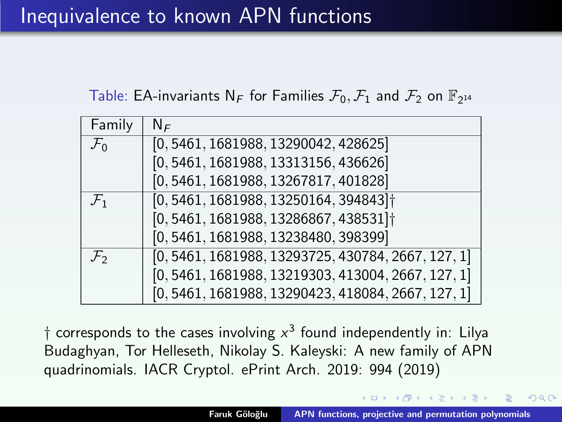### Table: EA-invariants  $N_F$  for Families  $\mathcal{F}_0, \mathcal{F}_1$  and  $\mathcal{F}_2$  on  $\mathbb{F}_{2^{14}}$

| Family            | $N_F$                                                |
|-------------------|------------------------------------------------------|
| $\mathcal{F}_0$   | [0, 5461, 1681988, 13290042, 428625]                 |
|                   | [0, 5461, 1681988, 13313156, 436626]                 |
|                   | [0, 5461, 1681988, 13267817, 401828]                 |
| $\mathcal{F}_1$   | $[0, 5461, 1681988, 13250164, 394843]$ <sup>+</sup>  |
|                   | [0, 5461, 1681988, 13286867, 438531]                 |
|                   | [0, 5461, 1681988, 13238480, 398399]                 |
| $\mathcal{F}_{2}$ | $[0, 5461, 1681988, 13293725, 430784, 2667, 127, 1]$ |
|                   | $[0, 5461, 1681988, 13219303, 413004, 2667, 127, 1]$ |
|                   | $[0, 5461, 1681988, 13290423, 418084, 2667, 127, 1]$ |

 $\dagger$  corresponds to the cases involving  $x^3$  found independently in: Lilya Budaghyan, Tor Helleseth, Nikolay S. Kaleyski: A new family of APN quadrinomials. IACR Cryptol. ePrint Arch. 2019: 994 (2019)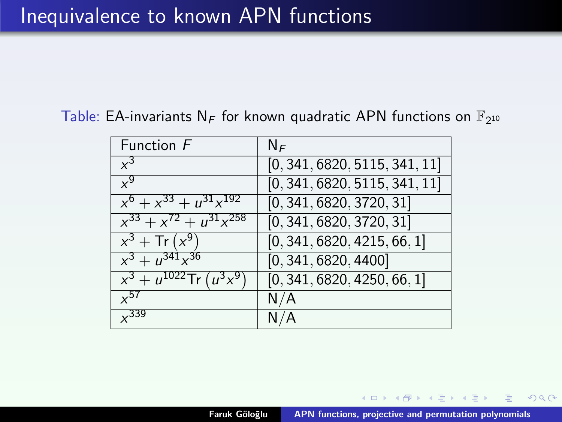### Inequivalence to known APN functions

Table: EA-invariants N<sub>F</sub> for known quadratic APN functions on  $\mathbb{F}_{2^{10}}$ 

| Function F                        | $N_F$                         |
|-----------------------------------|-------------------------------|
| $x^3$                             | [0, 341, 6820, 5115, 341, 11] |
| $x^9$                             | [0, 341, 6820, 5115, 341, 11] |
| $x^6 + x^{33} + u^{31}x^{192}$    | [0, 341, 6820, 3720, 31]      |
| $x^{33} + x^{72} + u^{31}x^{258}$ | [0, 341, 6820, 3720, 31]      |
| $x^{3}$ + Tr $(x^{9})$            | [0, 341, 6820, 4215, 66, 1]   |
| $x^3 + u^{341}x^{36}$             | [0, 341, 6820, 4400]          |
| $x^3 + u^{1022}$ Tr $(u^3x^9)$    | [0, 341, 6820, 4250, 66, 1]   |
| $\sqrt{57}$                       | N/A                           |
| $\times$ 339                      |                               |

**御 ▶ (唐 ) (唐**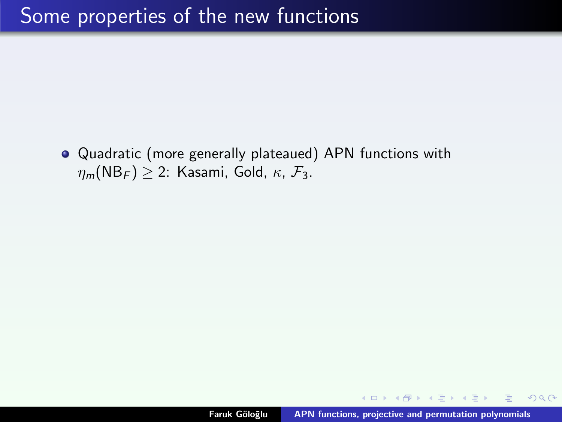Quadratic (more generally plateaued) APN functions with  $\eta_m(NB_F) \geq 2$ : Kasami, Gold,  $\kappa$ ,  $\mathcal{F}_3$ .

 $4.51 \times 4.71 \times 4.71 \times$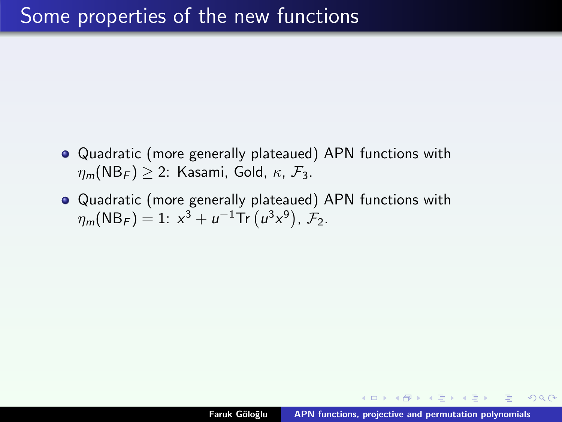- Quadratic (more generally plateaued) APN functions with  $\eta_m(NB_F) > 2$ : Kasami, Gold,  $\kappa$ ,  $\mathcal{F}_3$ .
- Quadratic (more generally plateaued) APN functions with  $\eta_m(\text{NB}_F) = 1: x^3 + u^{-1}\text{Tr}(u^3x^9), \mathcal{F}_2.$

イタン イミン イミン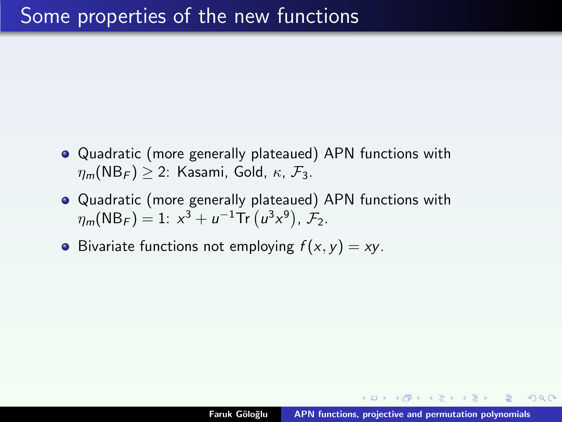- Quadratic (more generally plateaued) APN functions with  $\eta_m(NB_F) > 2$ : Kasami, Gold,  $\kappa$ ,  $\mathcal{F}_3$ .
- Quadratic (more generally plateaued) APN functions with  $\eta_m(\text{NB}_F) = 1: x^3 + u^{-1}\text{Tr}(u^3x^9), \mathcal{F}_2.$
- Bivariate functions not employing  $f(x, y) = xy$ .

イタン イミン イミン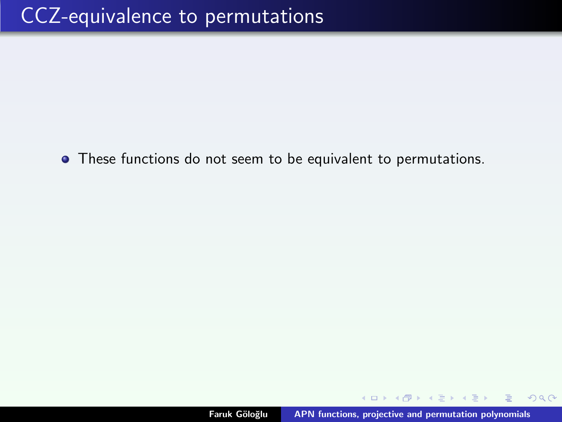These functions do not seem to be equivalent to permutations.

→ 伊 ▶ → 重 ▶ → 重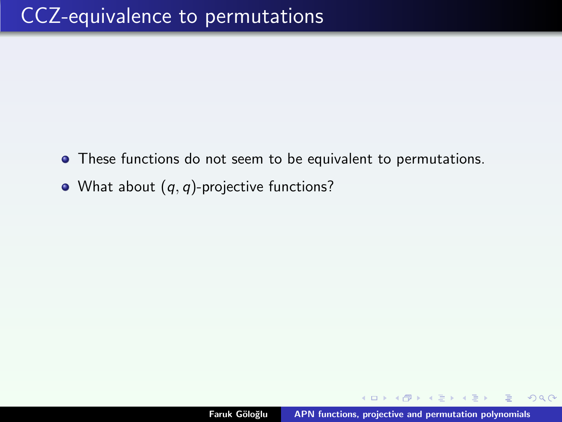- These functions do not seem to be equivalent to permutations.
- What about  $(q, q)$ -projective functions?

 $4.60 \times 4.75 \times 4.75 \times$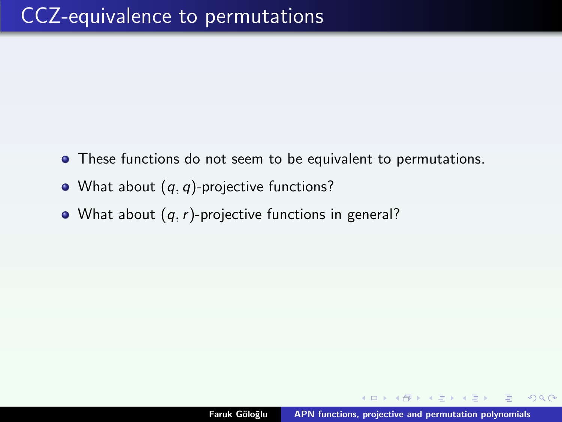- These functions do not seem to be equivalent to permutations.
- What about  $(q, q)$ -projective functions?
- What about  $(q, r)$ -projective functions in general?

A + + = + + =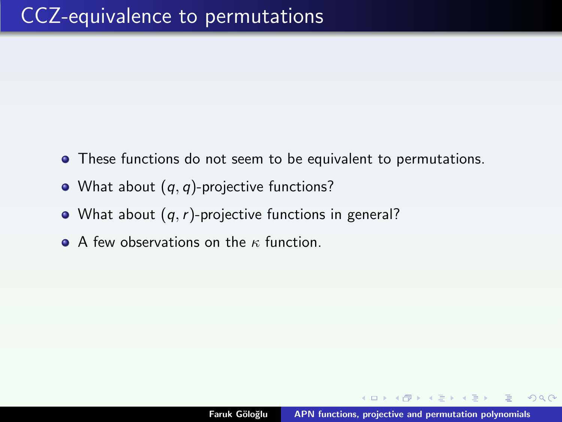- These functions do not seem to be equivalent to permutations.
- What about  $(q, q)$ -projective functions?
- What about  $(q, r)$ -projective functions in general?
- $\bullet$  A few observations on the  $\kappa$  function.

AD > 4 E > 4 E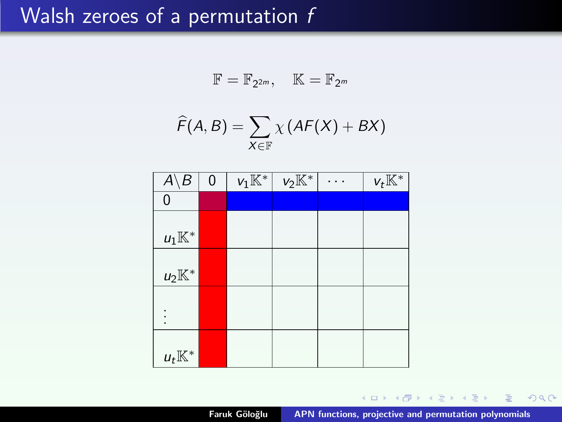### Walsh zeroes of a permutation f

$$
\mathbb{F}=\mathbb{F}_{2^{2m}},\quad \mathbb{K}=\mathbb{F}_{2^m}
$$

$$
\widehat{F}(A,B)=\sum_{X\in\mathbb{F}}\chi\left(AF(X)+BX\right)
$$

| Α<br>$\overline{B}$ | 0 | $v_1\mathbb{K}^*$ | $v_2\overline{\mathbb{K}^*}$ | $v_t\mathbb{K}^*$ |
|---------------------|---|-------------------|------------------------------|-------------------|
| 0                   |   |                   |                              |                   |
|                     |   |                   |                              |                   |
| $u_1\mathbb{K}^*$   |   |                   |                              |                   |
|                     |   |                   |                              |                   |
| $u_2\mathbb{K}^*$   |   |                   |                              |                   |
|                     |   |                   |                              |                   |
|                     |   |                   |                              |                   |
|                     |   |                   |                              |                   |
| $u_t\mathbb{K}^*$   |   |                   |                              |                   |

K ロ ⊁ K 倒 ≯ K ミ ⊁ K ミ ≯

重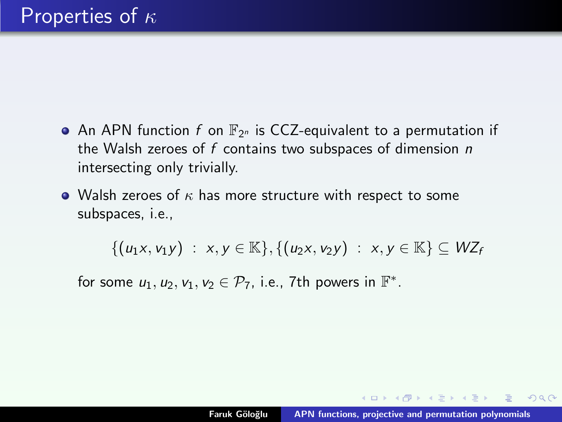- An APN function  $f$  on  $\mathbb{F}_{2^n}$  is CCZ-equivalent to a permutation if the Walsh zeroes of  $f$  contains two subspaces of dimension  $n$ intersecting only trivially.
- Walsh zeroes of  $\kappa$  has more structure with respect to some subspaces, i.e.,

 $\{(u_1x, v_1y) : x, y \in \mathbb{K}\}, \{(u_2x, v_2y) : x, y \in \mathbb{K}\} \subseteq WZ_f$ 

for some  $u_1, u_2, v_1, v_2 \in \mathcal{P}_7$ , i.e., 7th powers in  $\mathbb{F}^*$ .

マーター マーティー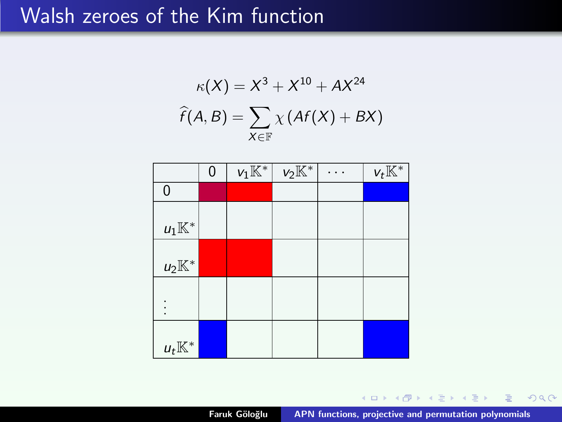### Walsh zeroes of the Kim function

$$
\kappa(X) = X^3 + X^{10} + AX^{24}
$$

$$
\widehat{f}(A, B) = \sum_{X \in \mathbb{F}} \chi\left(Af(X) + BX\right)
$$

|                   | 0 | $v_1\overline{\mathbb{K}^*}$ | $v_2\overline{\mathbb{K}^*}$ | $v_t\overline{\mathbb{K}^*}$ |
|-------------------|---|------------------------------|------------------------------|------------------------------|
| 0                 |   |                              |                              |                              |
|                   |   |                              |                              |                              |
| $u_1\mathbb{K}^*$ |   |                              |                              |                              |
| $u_2\mathbb{K}^*$ |   |                              |                              |                              |
|                   |   |                              |                              |                              |
| $u_t\mathbb{K}^*$ |   |                              |                              |                              |

Faruk Göloğlu [APN functions, projective and permutation polynomials](#page-0-0)

K ロ ⊁ K 倒 ≯ K ミ ⊁ K ミ ≯

重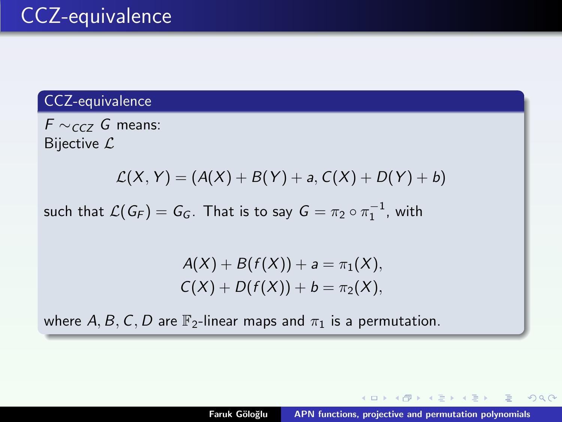#### CCZ-equivalence

 $F \sim_{CCZ} G$  means: Bijective  $\mathcal{L}$ 

$$
L(X, Y) = (A(X) + B(Y) + a, C(X) + D(Y) + b)
$$

such that  $\mathcal{L}(G_F) = G_G$ . That is to say  $G = \pi_2 \circ \pi_1^{-1}$ , with

$$
A(X) + B(f(X)) + a = \pi_1(X),
$$
  
 
$$
C(X) + D(f(X)) + b = \pi_2(X),
$$

where A, B, C, D are  $\mathbb{F}_2$ -linear maps and  $\pi_1$  is a permutation.

K ロ ▶ K 御 ▶ K 君 ▶ K 君 ▶ ...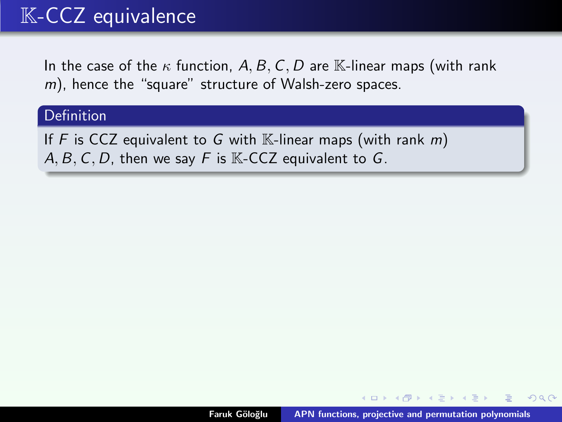### K-CCZ equivalence

In the case of the  $\kappa$  function, A, B, C, D are K-linear maps (with rank  $m$ ), hence the "square" structure of Walsh-zero spaces.

#### Definition

If F is CCZ equivalent to G with K-linear maps (with rank  $m$ ) A, B, C, D, then we say F is  $K$ -CCZ equivalent to G.

4 A D D D D D D D D D

つくい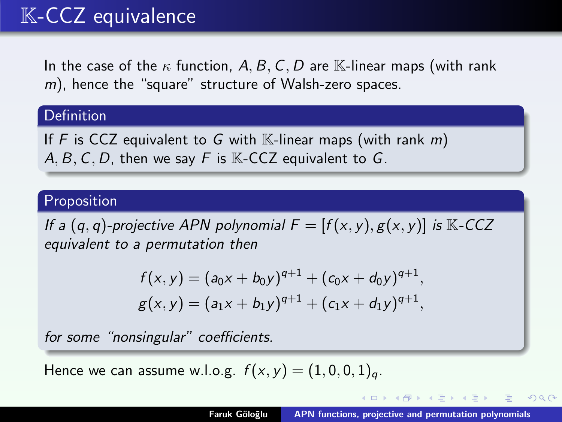### K-CCZ equivalence

In the case of the  $\kappa$  function, A, B, C, D are K-linear maps (with rank  $m$ ), hence the "square" structure of Walsh-zero spaces.

#### Definition

If F is CCZ equivalent to G with  $\mathbb{K}$ -linear maps (with rank m) A, B, C, D, then we say F is  $K$ -CCZ equivalent to G.

#### Proposition

If a  $(q, q)$ -projective APN polynomial  $F = [f(x, y), g(x, y)]$  is K-CCZ equivalent to a permutation then

$$
f(x, y) = (a_0x + b_0y)^{q+1} + (c_0x + d_0y)^{q+1},
$$
  
 
$$
g(x, y) = (a_1x + b_1y)^{q+1} + (c_1x + d_1y)^{q+1},
$$

for some "nonsingular" coefficients.

Hence we can assume w.l.o.g.  $f(x, y) = (1, 0, 0, 1)<sub>a</sub>$ .

K ロ ⊁ K 倒 ≯ K ミ ⊁ K ミ ≯

つくい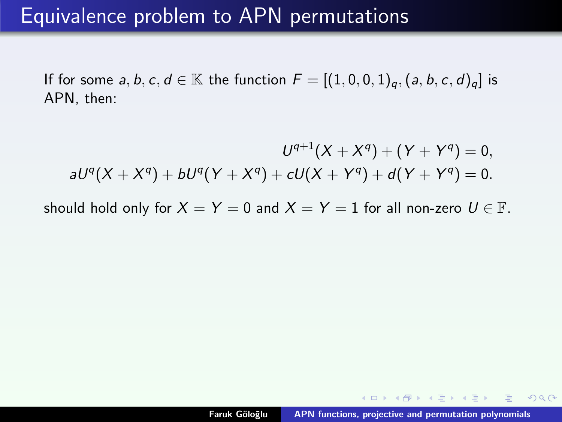### Equivalence problem to APN permutations

If for some  $a, b, c, d \in \mathbb{K}$  the function  $F = [(1, 0, 0, 1)_a, (a, b, c, d)_a]$  is APN, then:

$$
U^{q+1}(X+X^q) + (Y+Y^q) = 0,
$$
  
\n
$$
aU^q(X+X^q) + bU^q(Y+X^q) + cU(X+Y^q) + d(Y+Y^q) = 0.
$$

should hold only for  $X = Y = 0$  and  $X = Y = 1$  for all non-zero  $U \in \mathbb{F}$ .

イロメ マ桐 メラミンマティ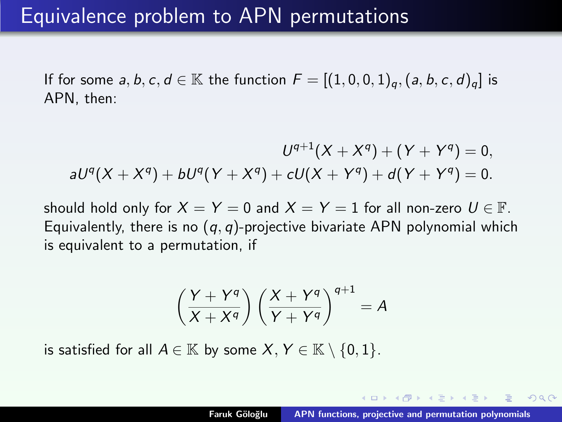If for some  $a, b, c, d \in \mathbb{K}$  the function  $F = [(1, 0, 0, 1)_a, (a, b, c, d)_a]$  is APN, then:

$$
U^{q+1}(X+X^q) + (Y+Y^q) = 0,
$$
  

$$
aU^q(X+X^q) + bU^q(Y+X^q) + cU(X+Y^q) + d(Y+Y^q) = 0.
$$

should hold only for  $X = Y = 0$  and  $X = Y = 1$  for all non-zero  $U \in \mathbb{F}$ . Equivalently, there is no  $(q, q)$ -projective bivariate APN polynomial which is equivalent to a permutation, if

$$
\left(\frac{Y+Y^q}{X+X^q}\right)\left(\frac{X+Y^q}{Y+Y^q}\right)^{q+1}=A
$$

is satisfied for all  $A \in \mathbb{K}$  by some  $X, Y \in \mathbb{K} \setminus \{0, 1\}.$ 

- イート イート イート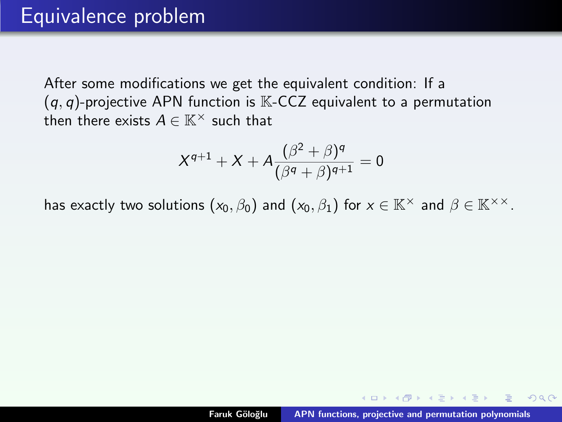After some modifications we get the equivalent condition: If a  $(q, q)$ -projective APN function is  $K$ -CCZ equivalent to a permutation then there exists  $A \in \mathbb{K}^\times$  such that

$$
X^{q+1} + X + A \frac{(\beta^2 + \beta)^q}{(\beta^q + \beta)^{q+1}} = 0
$$

has exactly two solutions  $(x_0, \beta_0)$  and  $(x_0, \beta_1)$  for  $x \in \mathbb{K}^\times$  and  $\beta \in \mathbb{K}^{\times \times}$ .

 $\mathcal{A}$   $\overline{\oplus}$   $\mathcal{B}$   $\mathcal{A}$   $\overline{\oplus}$   $\mathcal{B}$   $\mathcal{B}$   $\mathcal{B}$   $\mathcal{B}$   $\mathcal{B}$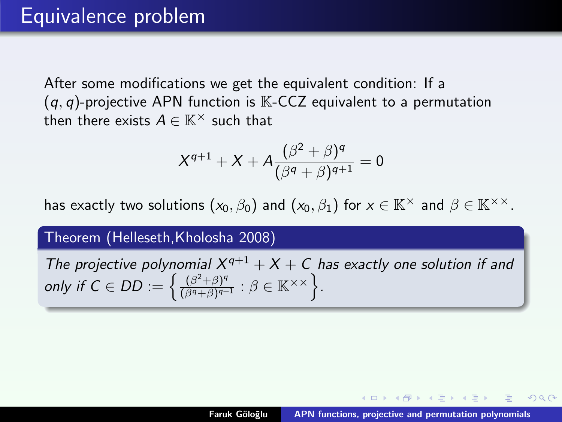After some modifications we get the equivalent condition: If a  $(q, q)$ -projective APN function is  $K$ -CCZ equivalent to a permutation then there exists  $A \in \mathbb{K}^\times$  such that

$$
X^{q+1} + X + A \frac{(\beta^2 + \beta)^q}{(\beta^q + \beta)^{q+1}} = 0
$$

has exactly two solutions  $(x_0, \beta_0)$  and  $(x_0, \beta_1)$  for  $x \in \mathbb{K}^\times$  and  $\beta \in \mathbb{K}^{\times \times}$ .

Theorem (Helleseth,Kholosha 2008)

The projective polynomial  $X^{q+1} + X + C$  has exactly one solution if and only if  $C \in DD := \left\{ \frac{(\beta^2 + \beta)^q}{(\beta^q + \beta)^{q+1}} \right\}$  $\frac{(\beta^2+\beta)^q}{(\beta^q+\beta)^{q+1}}$ :  $\beta \in \mathbb{K}^{\times \times}$ .

- イート イート イート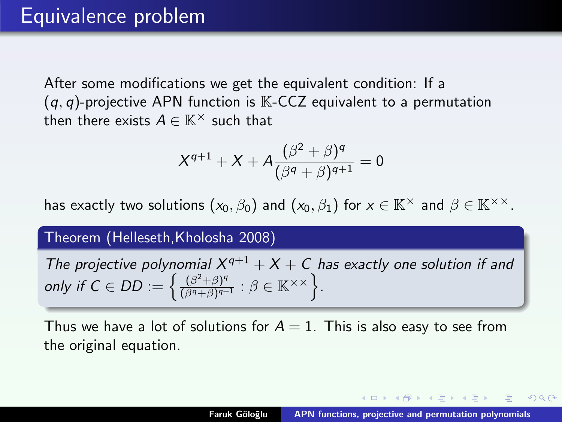After some modifications we get the equivalent condition: If a  $(q, q)$ -projective APN function is  $K$ -CCZ equivalent to a permutation then there exists  $A \in \mathbb{K}^\times$  such that

$$
X^{q+1}+X+A\frac{(\beta^2+\beta)^q}{(\beta^q+\beta)^{q+1}}=0
$$

has exactly two solutions  $(x_0, \beta_0)$  and  $(x_0, \beta_1)$  for  $x \in \mathbb{K}^\times$  and  $\beta \in \mathbb{K}^{\times \times}$ .

Theorem (Helleseth,Kholosha 2008)

The projective polynomial  $X^{q+1} + X + C$  has exactly one solution if and only if  $C \in DD := \left\{ \frac{(\beta^2 + \beta)^q}{(\beta^q + \beta)^{q+1}} \right\}$  $\frac{(\beta^2+\beta)^q}{(\beta^q+\beta)^{q+1}}$ :  $\beta \in \mathbb{K}^{\times \times}$ .

Thus we have a lot of solutions for  $A = 1$ . This is also easy to see from the original equation.

イロメ マ桐 メラミンマティ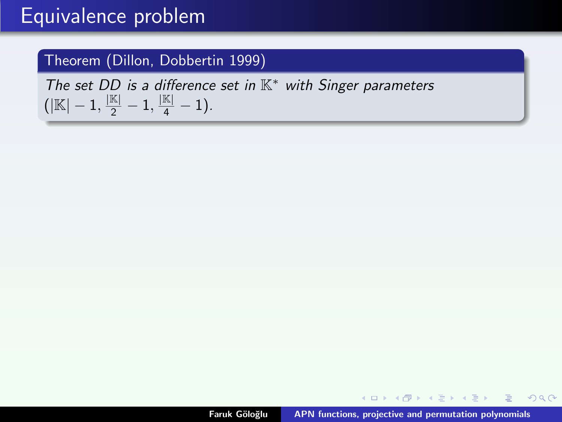### Equivalence problem

#### Theorem (Dillon, Dobbertin 1999)

The set DD is a difference set in  $K^*$  with Singer parameters  $(|\mathbb{K}|-1,\frac{|\mathbb{K}|}{2}-1,\frac{|\mathbb{K}|}{4}-1).$ 

イロメ イ母メ イヨメ イヨメー

 $2Q$ 

唾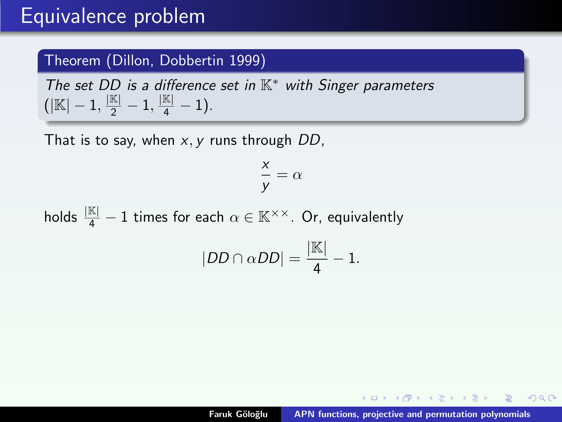### Equivalence problem

#### Theorem (Dillon, Dobbertin 1999)

The set DD is a difference set in  $K^*$  with Singer parameters  $(|\mathbb{K}|-1,\frac{|\mathbb{K}|}{2}-1,\frac{|\mathbb{K}|}{4}-1).$ 

That is to say, when  $x, y$  runs through  $DD$ ,

$$
\frac{x}{y} = \alpha
$$

holds  $\frac{|\mathbb{K}|}{4} - 1$  times for each  $\alpha \in \mathbb{K}^{\times \times}$ . Or, equivalently

$$
|DD \cap \alpha DD| = \frac{|\mathbb{K}|}{4} - 1.
$$

- ◀ @ ▶ -◀ 로 ▶ -◀ 로 ▶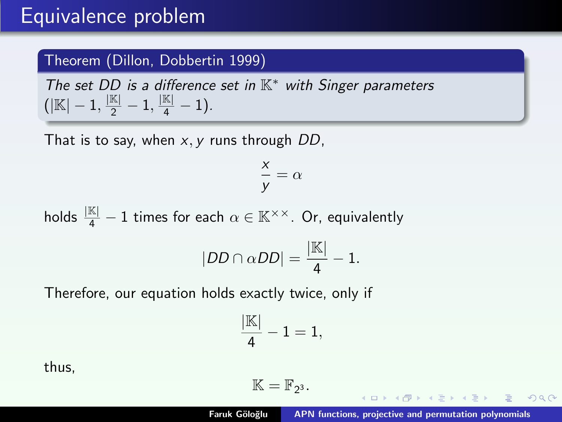### <span id="page-54-0"></span>Equivalence problem

#### Theorem (Dillon, Dobbertin 1999)

The set DD is a difference set in  $K^*$  with Singer parameters  $(|\mathbb{K}|-1,\frac{|\mathbb{K}|}{2}-1,\frac{|\mathbb{K}|}{4}-1).$ 

That is to say, when  $x, y$  runs through  $DD$ ,

$$
\frac{x}{y} = \alpha
$$

holds  $\frac{|\mathbb{K}|}{4} - 1$  times for each  $\alpha \in \mathbb{K}^{\times \times}$ . Or, equivalently

$$
|DD \cap \alpha DD| = \frac{|\mathbb{K}|}{4} - 1.
$$

Therefore, our equation holds exactly twice, only if

$$
\frac{|\mathbb{K}|}{4}-1=1,
$$

thus,

$$
\mathbb{K}=\mathbb{F}_{2^3}.
$$

 $($  m  $\rightarrow$   $($   $\overline{m}$   $\rightarrow$   $\rightarrow$   $\overline{m}$   $\rightarrow$   $\rightarrow$   $\rightarrow$ 

つくい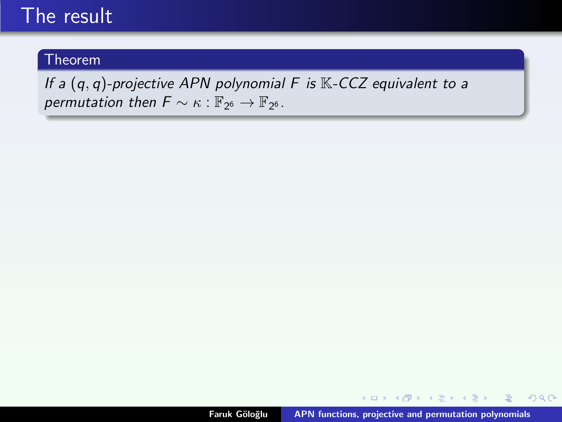### <span id="page-55-0"></span>The result

#### Theorem

If a  $(q, q)$ -projective APN polynomial F is  $K$ -CCZ equivalent to a permutation then  $F \sim \kappa : \mathbb{F}_{2^6} \to \mathbb{F}_{2^6}$ .

**K ロ ⊁ K 倒 ≯ K ミ ⊁ K ミ ⊁** 

 $2Q$ 

目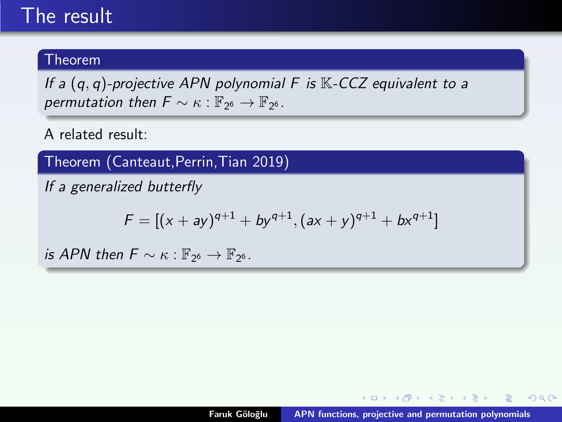### <span id="page-56-0"></span>The result

#### Theorem

If a  $(q, q)$ -projective APN polynomial F is  $K$ -CCZ equivalent to a permutation then  $F \sim \kappa : \mathbb{F}_{2^6} \to \mathbb{F}_{2^6}$ .

A related result:

Theorem (Canteaut,Perrin,Tian 2019)

If a generalized butterfly

$$
F = [(x + ay)^{q+1} + by^{q+1}, (ax + y)^{q+1} + bx^{q+1}]
$$

is APN then  $F \sim \kappa : \mathbb{F}_{2^6} \to \mathbb{F}_{2^6}$ .

 $4.013.4.513.4.533.4.5$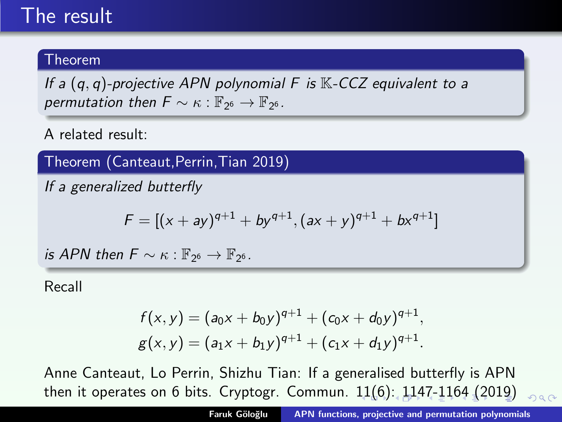### <span id="page-57-0"></span>The result

#### Theorem

If a  $(q, q)$ -projective APN polynomial F is  $K$ -CCZ equivalent to a permutation then  $F \sim \kappa : \mathbb{F}_{2^6} \to \mathbb{F}_{2^6}$ .

A related result:

Theorem (Canteaut,Perrin,Tian 2019)

If a generalized butterfly

$$
F = [(x + ay)^{q+1} + by^{q+1}, (ax + y)^{q+1} + bx^{q+1}]
$$

is APN then  $F \sim \kappa : \mathbb{F}_{2^6} \to \mathbb{F}_{2^6}$ .

Recall

$$
f(x,y) = (a_0x + b_0y)^{q+1} + (c_0x + d_0y)^{q+1},
$$
  
 
$$
g(x,y) = (a_1x + b_1y)^{q+1} + (c_1x + d_1y)^{q+1}.
$$

Anne Canteaut, Lo Perrin, Shizhu Tian: If a generalised butterfly is APN then it operates on 6 bits. Cryptogr. Commun. [11](#page-56-0)([6\)](#page-58-0)[:](#page-54-0) [1](#page-55-0)[1](#page-57-0)[4](#page-58-0)[7-](#page-0-0)[116](#page-70-0)[4](#page-0-0) [\(20](#page-70-0)[1](#page-0-0)[9\)](#page-70-0)  $000$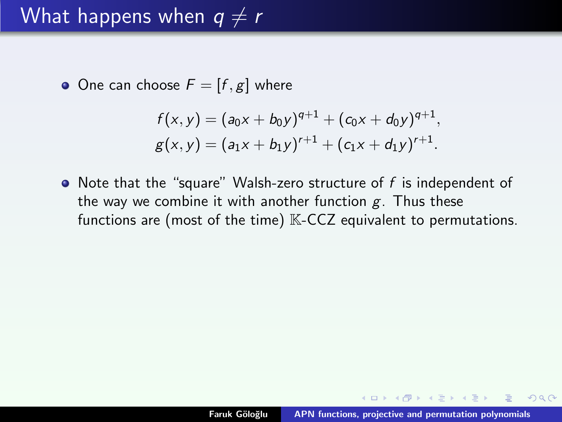<span id="page-58-0"></span>• One can choose  $F = [f, g]$  where

$$
f(x,y) = (a_0x + b_0y)^{q+1} + (c_0x + d_0y)^{q+1},
$$
  
 
$$
g(x,y) = (a_1x + b_1y)^{r+1} + (c_1x + d_1y)^{r+1}.
$$

 $\bullet$  Note that the "square" Walsh-zero structure of f is independent of the way we combine it with another function  $g$ . Thus these functions are (most of the time)  $K-CCZ$  equivalent to permutations.

A + + = + + = +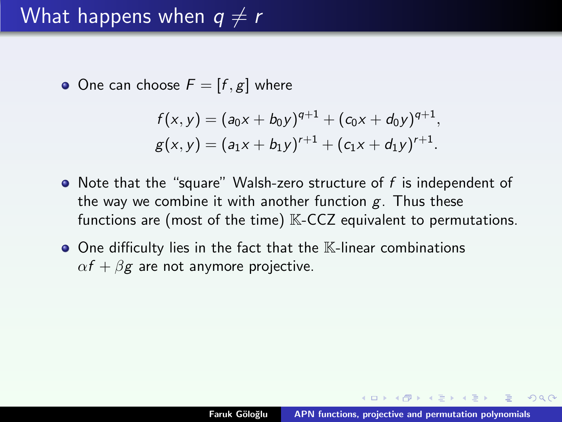• One can choose  $F = [f, g]$  where

$$
f(x,y) = (a_0x + b_0y)^{q+1} + (c_0x + d_0y)^{q+1},
$$
  
 
$$
g(x,y) = (a_1x + b_1y)^{r+1} + (c_1x + d_1y)^{r+1}.
$$

- $\bullet$  Note that the "square" Walsh-zero structure of f is independent of the way we combine it with another function  $g$ . Thus these functions are (most of the time)  $K-CCZ$  equivalent to permutations.
- $\bullet$  One difficulty lies in the fact that the  $\mathbb K$ -linear combinations  $\alpha f + \beta g$  are not anymore projective.

 $\mathcal{A}$   $\overline{\oplus}$   $\mathcal{B}$   $\mathcal{A}$   $\overline{\oplus}$   $\mathcal{B}$   $\mathcal{B}$   $\mathcal{B}$   $\mathcal{B}$   $\mathcal{B}$ 

つくい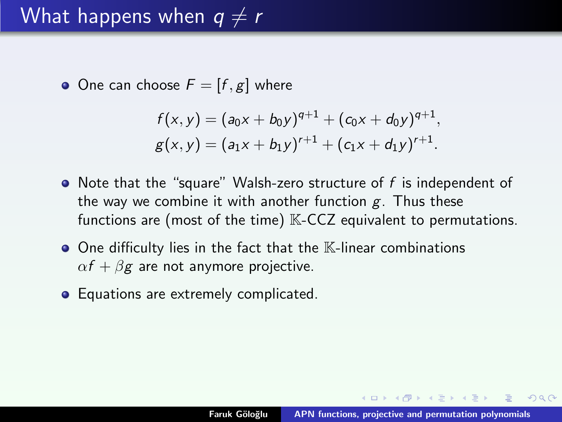• One can choose  $F = [f, g]$  where

$$
f(x,y) = (a_0x + b_0y)^{q+1} + (c_0x + d_0y)^{q+1},
$$
  
 
$$
g(x,y) = (a_1x + b_1y)^{r+1} + (c_1x + d_1y)^{r+1}.
$$

- $\bullet$  Note that the "square" Walsh-zero structure of f is independent of the way we combine it with another function  $g$ . Thus these functions are (most of the time)  $K-CCZ$  equivalent to permutations.
- $\bullet$  One difficulty lies in the fact that the  $\mathbb K$ -linear combinations  $\alpha f + \beta g$  are not anymore projective.
- Equations are extremely complicated.

 $\mathcal{A}$   $\overline{\oplus}$   $\mathcal{B}$   $\mathcal{A}$   $\overline{\oplus}$   $\mathcal{B}$   $\mathcal{B}$   $\mathcal{B}$   $\mathcal{B}$   $\mathcal{B}$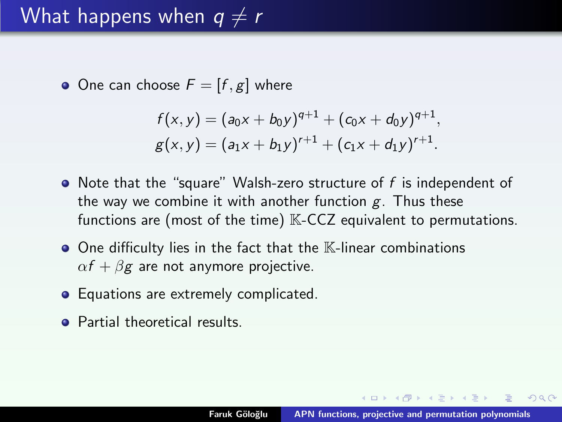• One can choose  $F = [f, g]$  where

$$
f(x,y) = (a_0x + b_0y)^{q+1} + (c_0x + d_0y)^{q+1},
$$
  
 
$$
g(x,y) = (a_1x + b_1y)^{r+1} + (c_1x + d_1y)^{r+1}.
$$

- $\bullet$  Note that the "square" Walsh-zero structure of f is independent of the way we combine it with another function  $g$ . Thus these functions are (most of the time)  $K-CCZ$  equivalent to permutations.
- $\bullet$  One difficulty lies in the fact that the  $\mathbb K$ -linear combinations  $\alpha f + \beta g$  are not anymore projective.
- Equations are extremely complicated.
- **•** Partial theoretical results.

4 A D D D D D D D D D D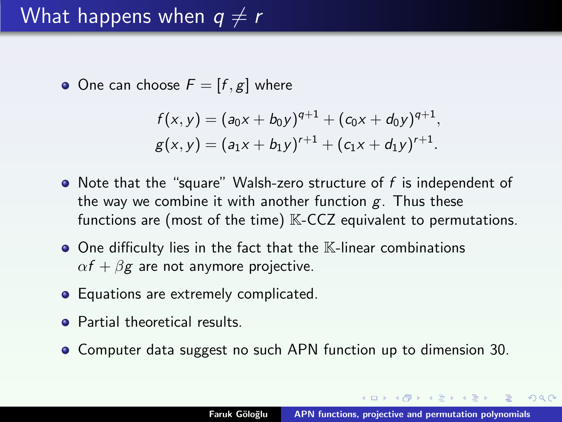• One can choose  $F = [f, g]$  where

$$
f(x,y) = (a_0x + b_0y)^{q+1} + (c_0x + d_0y)^{q+1},
$$
  
 
$$
g(x,y) = (a_1x + b_1y)^{r+1} + (c_1x + d_1y)^{r+1}.
$$

- $\bullet$  Note that the "square" Walsh-zero structure of f is independent of the way we combine it with another function  $g$ . Thus these functions are (most of the time)  $K-CCZ$  equivalent to permutations.
- $\bullet$  One difficulty lies in the fact that the  $\mathbb K$ -linear combinations  $\alpha f + \beta g$  are not anymore projective.
- Equations are extremely complicated.
- **•** Partial theoretical results.
- Computer data suggest no such APN function up to dimension 30.

イロメ マ桐 メラミンマラメ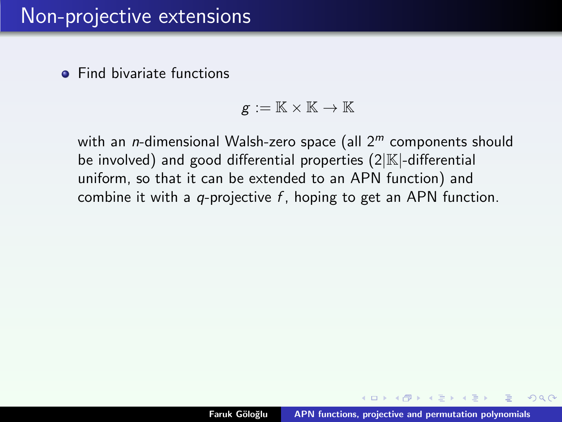$$
g:=\mathbb{K}\times\mathbb{K}\to\mathbb{K}
$$

with an *n*-dimensional Walsh-zero space (all  $2<sup>m</sup>$  components should be involved) and good differential properties  $(2|\mathbb{K})$ -differential uniform, so that it can be extended to an APN function) and combine it with a q-projective  $f$ , hoping to get an APN function.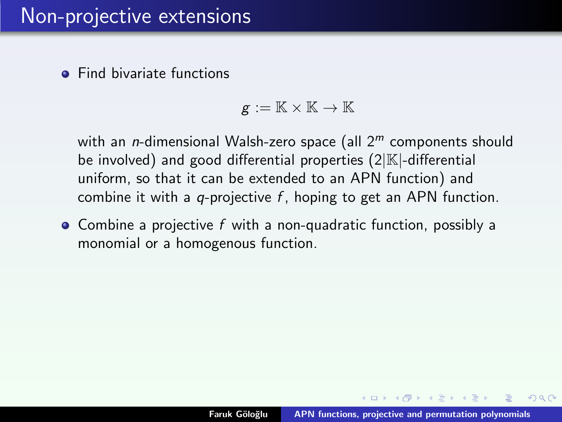$$
g:=\mathbb{K}\times\mathbb{K}\to\mathbb{K}
$$

with an *n*-dimensional Walsh-zero space (all  $2<sup>m</sup>$  components should be involved) and good differential properties  $(2|\mathbb{K})$ -differential uniform, so that it can be extended to an APN function) and combine it with a q-projective  $f$ , hoping to get an APN function.

• Combine a projective f with a non-quadratic function, possibly a monomial or a homogenous function.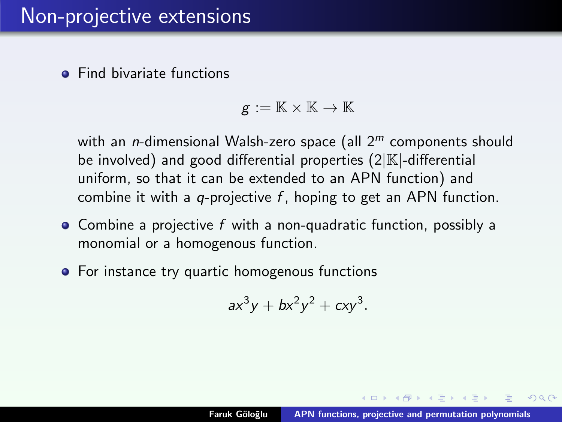$$
g:=\mathbb{K}\times\mathbb{K}\to\mathbb{K}
$$

with an *n*-dimensional Walsh-zero space (all  $2<sup>m</sup>$  components should be involved) and good differential properties  $(2|\mathbb{K})$ -differential uniform, so that it can be extended to an APN function) and combine it with a q-projective  $f$ , hoping to get an APN function.

- Combine a projective f with a non-quadratic function, possibly a monomial or a homogenous function.
- For instance try quartic homogenous functions

$$
ax^3y + bx^2y^2 + cxy^3.
$$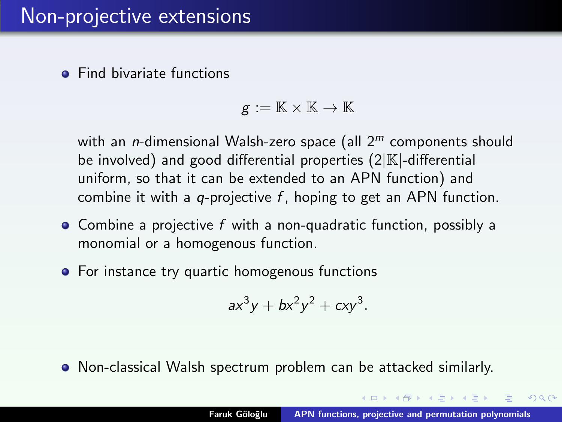$$
g:=\mathbb{K}\times\mathbb{K}\to\mathbb{K}
$$

with an *n*-dimensional Walsh-zero space (all  $2<sup>m</sup>$  components should be involved) and good differential properties  $(2|\mathbb{K})$ -differential uniform, so that it can be extended to an APN function) and combine it with a q-projective  $f$ , hoping to get an APN function.

- Combine a projective f with a non-quadratic function, possibly a monomial or a homogenous function.
- For instance try quartic homogenous functions

$$
ax^3y + bx^2y^2 + cxy^3.
$$

Non-classical Walsh spectrum problem can be attacked similarly.

 $\mathcal{A}$   $\overline{\mathcal{H}}$   $\rightarrow$   $\mathcal{A}$   $\overline{\mathcal{H}}$   $\rightarrow$   $\mathcal{A}$   $\overline{\mathcal{H}}$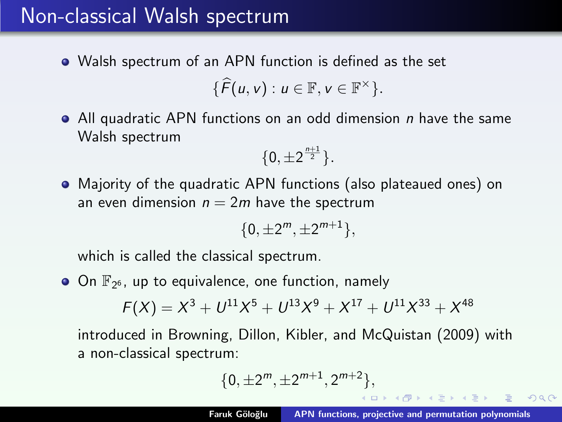### Non-classical Walsh spectrum

Walsh spectrum of an APN function is defined as the set

$$
\{\widehat{F}(u,v):u\in\mathbb{F},v\in\mathbb{F}^{\times}\}.
$$

• All quadratic APN functions on an odd dimension *n* have the same Walsh spectrum

$$
\{0,\pm 2^{\frac{n+1}{2}}\}.
$$

Majority of the quadratic APN functions (also plateaued ones) on an even dimension  $n = 2m$  have the spectrum

$$
\{0,\pm 2^m,\pm 2^{m+1}\},
$$

which is called the classical spectrum.

On  $\mathbb{F}_{2^6}$ , up to equivalence, one function, namely

$$
F(X) = X^3 + U^{11}X^5 + U^{13}X^9 + X^{17} + U^{11}X^{33} + X^{48}
$$

introduced in Browning, Dillon, Kibler, and McQuistan (2009) with a non-classical spectrum:

$$
\{0,\pm 2^m,\pm 2^{m+1},2^{m+2}\},
$$

→ 伊 ▶ → 君 ▶ → 君 ▶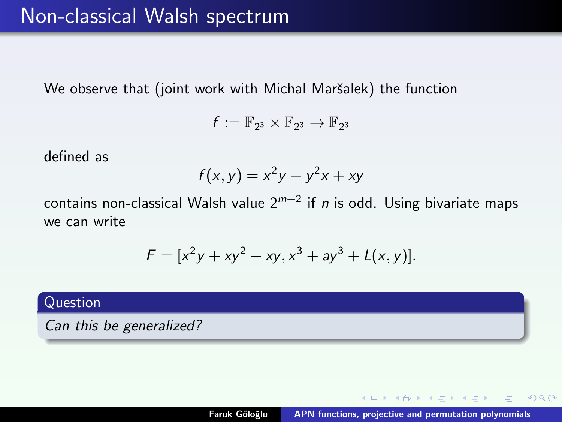We observe that (joint work with Michal Maršalek) the function

$$
f:=\mathbb{F}_{2^3}\times\mathbb{F}_{2^3}\to\mathbb{F}_{2^3}
$$

defined as

$$
f(x, y) = x^2y + y^2x + xy
$$

contains non-classical Walsh value  $2^{m+2}$  if *n* is odd. Using bivariate maps we can write

$$
F = [x^{2}y + xy^{2} + xy, x^{3} + ay^{3} + L(x, y)].
$$

#### Question

Can this be generalized?

K ロ ⊁ K 倒 ≯ K ミ ⊁ K ミ ≯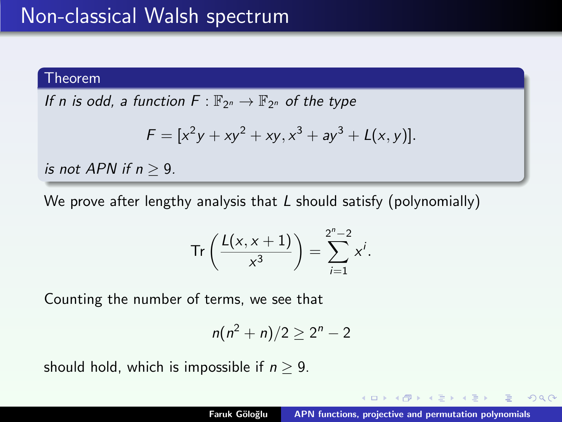#### Theorem

If n is odd, a function  $F: \mathbb{F}_{2^n} \to \mathbb{F}_{2^n}$  of the type

$$
F = [x^{2}y + xy^{2} + xy, x^{3} + ay^{3} + L(x, y)].
$$

is not APN if  $n > 9$ .

We prove after lengthy analysis that  $L$  should satisfy (polynomially)

$$
\operatorname{Tr}\left(\frac{L(x,x+1)}{x^3}\right)=\sum_{i=1}^{2^n-2}x^i.
$$

Counting the number of terms, we see that

$$
n(n^2+n)/2\geq 2^n-2
$$

should hold, which is impossible if  $n > 9$ .

 $\mathcal{A}$   $\overline{\mathcal{B}}$   $\rightarrow$   $\mathcal{A}$   $\overline{\mathcal{B}}$   $\rightarrow$   $\mathcal{A}$   $\overline{\mathcal{B}}$